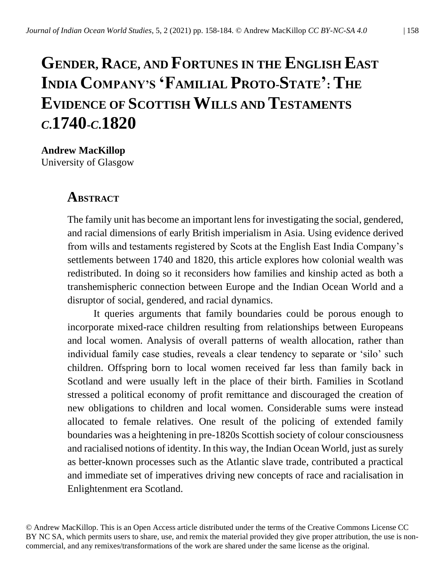# **GENDER, RACE, AND FORTUNES IN THE ENGLISH EAST INDIA COMPANY'S 'FAMILIAL PROTO-STATE' : THE EVIDENCE OF SCOTTISH WILLS AND TESTAMENTS** *<sup>C</sup>***.1740-***C***.1820**

**Andrew MacKillop** University of Glasgow

## **ABSTRACT**

The family unit has become an important lens for investigating the social, gendered, and racial dimensions of early British imperialism in Asia. Using evidence derived from wills and testaments registered by Scots at the English East India Company's settlements between 1740 and 1820, this article explores how colonial wealth was redistributed. In doing so it reconsiders how families and kinship acted as both a transhemispheric connection between Europe and the Indian Ocean World and a disruptor of social, gendered, and racial dynamics.

It queries arguments that family boundaries could be porous enough to incorporate mixed-race children resulting from relationships between Europeans and local women. Analysis of overall patterns of wealth allocation, rather than individual family case studies, reveals a clear tendency to separate or 'silo' such children. Offspring born to local women received far less than family back in Scotland and were usually left in the place of their birth. Families in Scotland stressed a political economy of profit remittance and discouraged the creation of new obligations to children and local women. Considerable sums were instead allocated to female relatives. One result of the policing of extended family boundaries was a heightening in pre-1820s Scottish society of colour consciousness and racialised notions of identity. In this way, the Indian Ocean World, just as surely as better-known processes such as the Atlantic slave trade, contributed a practical and immediate set of imperatives driving new concepts of race and racialisation in Enlightenment era Scotland.

© Andrew MacKillop. This is an Open Access article distributed under the terms of the Creative Commons License CC BY NC SA, which permits users to share, use, and remix the material provided they give proper attribution, the use is noncommercial, and any remixes/transformations of the work are shared under the same license as the original.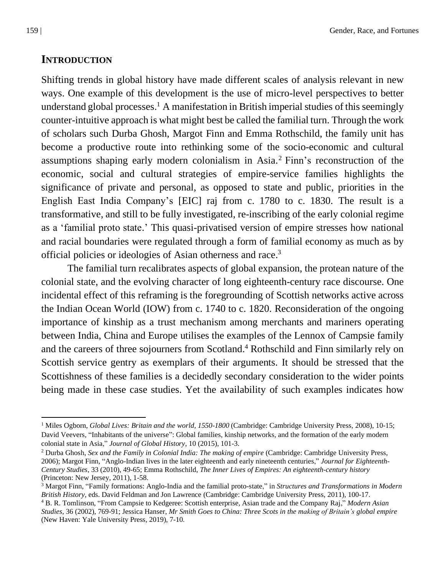# **INTRODUCTION**

Shifting trends in global history have made different scales of analysis relevant in new ways. One example of this development is the use of micro-level perspectives to better understand global processes. <sup>1</sup> A manifestation in British imperial studies of this seemingly counter-intuitive approach is what might best be called the familial turn. Through the work of scholars such Durba Ghosh, Margot Finn and Emma Rothschild, the family unit has become a productive route into rethinking some of the socio-economic and cultural assumptions shaping early modern colonialism in Asia. <sup>2</sup> Finn's reconstruction of the economic, social and cultural strategies of empire-service families highlights the significance of private and personal, as opposed to state and public, priorities in the English East India Company's [EIC] raj from c. 1780 to c. 1830. The result is a transformative, and still to be fully investigated, re-inscribing of the early colonial regime as a 'familial proto state.' This quasi-privatised version of empire stresses how national and racial boundaries were regulated through a form of familial economy as much as by official policies or ideologies of Asian otherness and race.<sup>3</sup>

The familial turn recalibrates aspects of global expansion, the protean nature of the colonial state, and the evolving character of long eighteenth-century race discourse. One incidental effect of this reframing is the foregrounding of Scottish networks active across the Indian Ocean World (IOW) from c. 1740 to c. 1820. Reconsideration of the ongoing importance of kinship as a trust mechanism among merchants and mariners operating between India, China and Europe utilises the examples of the Lennox of Campsie family and the careers of three sojourners from Scotland. <sup>4</sup> Rothschild and Finn similarly rely on Scottish service gentry as exemplars of their arguments. It should be stressed that the Scottishness of these families is a decidedly secondary consideration to the wider points being made in these case studies. Yet the availability of such examples indicates how

<sup>&</sup>lt;sup>1</sup> Miles Ogborn, *Global Lives: Britain and the world, 1550-1800* (Cambridge: Cambridge University Press, 2008), 10-15; David Veevers, "Inhabitants of the universe": Global families, kinship networks, and the formation of the early modern colonial state in Asia," *Journal of Global History*, 10 (2015), 101-3.

<sup>&</sup>lt;sup>2</sup> Durba Ghosh, *Sex and the Family in Colonial India: The making of empire* (Cambridge: Cambridge University Press, 2006); Margot Finn, "Anglo-Indian lives in the later eighteenth and early nineteenth centuries," *Journal for Eighteenth-Century Studies*, 33 (2010), 49-65; Emma Rothschild, *The Inner Lives of Empires: An eighteenth-century history* (Princeton: New Jersey, 2011), 1-58.

<sup>3</sup> Margot Finn, "Family formations: Anglo-India and the familial proto-state," in *Structures and Transformations in Modern British History*, eds. David Feldman and Jon Lawrence (Cambridge: Cambridge University Press, 2011), 100-17.

<sup>4</sup> B. R. Tomlinson, "From Campsie to Kedgeree: Scottish enterprise, Asian trade and the Company Raj," *Modern Asian Studies*, 36 (2002), 769-91; Jessica Hanser, *Mr Smith Goes to China: Three Scots in the making of Britain's global empire*  (New Haven: Yale University Press, 2019), 7-10.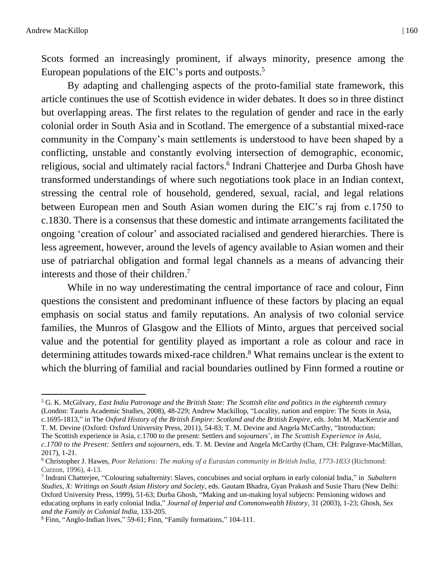Scots formed an increasingly prominent, if always minority, presence among the European populations of the EIC's ports and outposts. 5

By adapting and challenging aspects of the proto-familial state framework, this article continues the use of Scottish evidence in wider debates. It does so in three distinct but overlapping areas. The first relates to the regulation of gender and race in the early colonial order in South Asia and in Scotland. The emergence of a substantial mixed-race community in the Company's main settlements is understood to have been shaped by a conflicting, unstable and constantly evolving intersection of demographic, economic, religious, social and ultimately racial factors.<sup>6</sup> Indrani Chatterjee and Durba Ghosh have transformed understandings of where such negotiations took place in an Indian context, stressing the central role of household, gendered, sexual, racial, and legal relations between European men and South Asian women during the EIC's raj from c.1750 to c.1830. There is a consensus that these domestic and intimate arrangements facilitated the ongoing 'creation of colour' and associated racialised and gendered hierarchies. There is less agreement, however, around the levels of agency available to Asian women and their use of patriarchal obligation and formal legal channels as a means of advancing their interests and those of their children. 7

While in no way underestimating the central importance of race and colour, Finn questions the consistent and predominant influence of these factors by placing an equal emphasis on social status and family reputations. An analysis of two colonial service families, the Munros of Glasgow and the Elliots of Minto, argues that perceived social value and the potential for gentility played as important a role as colour and race in determining attitudes towards mixed-race children. <sup>8</sup> What remains unclear is the extent to which the blurring of familial and racial boundaries outlined by Finn formed a routine or

T. M. Devine (Oxford: Oxford University Press, 2011), 54-83; T. M. Devine and Angela McCarthy, "Introduction: The Scottish experience in Asia, c.1700 to the present: Settlers and sojourners', in *The Scottish Experience in Asia,* 

<sup>5</sup> G. K. McGilvary, *East India Patronage and the British State*: *The Scottish elite and politics in the eighteenth century* (London: Tauris Academic Studies, 2008), 48-229; Andrew Mackillop, "Locality, nation and empire: The Scots in Asia, c.1695-1813," in The *Oxford History of the British Empire: Scotland and the British Empire*, eds. John M. MacKenzie and

*c.1700 to the Present: Settlers and sojourners*, eds. T. M. Devine and Angela McCarthy (Cham, CH: Palgrave-MacMillan, 2017), 1-21.

<sup>6</sup> Christopher J. Hawes, *Poor Relations: The making of a Eurasian community in British India, 1773-1833* (Richmond: Curzon, 1996), 4-13.

<sup>7</sup> Indrani Chatterjee, "Colouring subalternity: Slaves, concubines and social orphans in early colonial India," in *Subaltern Studies, X: Writings on South Asian History and Society*, eds. Gautam Bhadra, Gyan Prakash and Susie Tharu (New Delhi: Oxford University Press, 1999), 51-63; Durba Ghosh, "Making and un-making loyal subjects: Pensioning widows and educating orphans in early colonial India," *Journal of Imperial and Commonwealth History*, 31 (2003), 1-23; Ghosh, *Sex and the Family in Colonial India*, 133-205.

<sup>8</sup> Finn, "Anglo-Indian lives," 59-61; Finn, "Family formations," 104-111.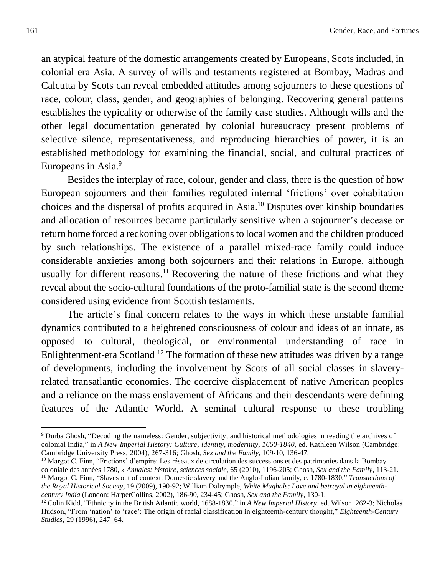an atypical feature of the domestic arrangements created by Europeans, Scots included, in colonial era Asia. A survey of wills and testaments registered at Bombay, Madras and Calcutta by Scots can reveal embedded attitudes among sojourners to these questions of race, colour, class, gender, and geographies of belonging. Recovering general patterns establishes the typicality or otherwise of the family case studies. Although wills and the other legal documentation generated by colonial bureaucracy present problems of selective silence, representativeness, and reproducing hierarchies of power, it is an established methodology for examining the financial, social, and cultural practices of Europeans in Asia.<sup>9</sup>

Besides the interplay of race, colour, gender and class, there is the question of how European sojourners and their families regulated internal 'frictions' over cohabitation choices and the dispersal of profits acquired in Asia. <sup>10</sup> Disputes over kinship boundaries and allocation of resources became particularly sensitive when a sojourner's decease or return home forced a reckoning over obligations to local women and the children produced by such relationships. The existence of a parallel mixed-race family could induce considerable anxieties among both sojourners and their relations in Europe, although usually for different reasons.<sup>11</sup> Recovering the nature of these frictions and what they reveal about the socio-cultural foundations of the proto-familial state is the second theme considered using evidence from Scottish testaments.

The article's final concern relates to the ways in which these unstable familial dynamics contributed to a heightened consciousness of colour and ideas of an innate, as opposed to cultural, theological, or environmental understanding of race in Enlightenment-era Scotland<sup>12</sup> The formation of these new attitudes was driven by a range of developments, including the involvement by Scots of all social classes in slaveryrelated transatlantic economies. The coercive displacement of native American peoples and a reliance on the mass enslavement of Africans and their descendants were defining features of the Atlantic World. A seminal cultural response to these troubling

<sup>9</sup> Durba Ghosh, "Decoding the nameless: Gender, subjectivity, and historical methodologies in reading the archives of colonial India," in *A New Imperial History: Culture, identity, modernity, 1660-1840*, ed. Kathleen Wilson (Cambridge: Cambridge University Press, 2004), 267-316; Ghosh, *Sex and the Family*, 109-10, 136-47.

<sup>&</sup>lt;sup>10</sup> Margot C. Finn, "Frictions' d'empire: Les réseaux de circulation des successions et des patrimonies dans la Bombay coloniale des années 1780, » *Annales: histoire, sciences sociale*, 65 (2010), 1196-205; Ghosh, *Sex and the Family*, 113-21. <sup>11</sup> Margot C. Finn, "Slaves out of context: Domestic slavery and the Anglo-Indian family, c. 1780-1830," *Transactions of the Royal Historical Society*, 19 (2009), 190-92; William Dalrymple, *White Mughals: Love and betrayal in eighteenthcentury India* (London: HarperCollins, 2002), 186-90, 234-45; Ghosh, *Sex and the Family*, 130-1.

<sup>12</sup> Colin Kidd, "Ethnicity in the British Atlantic world, 1688-1830," in *A New Imperial History*, ed. Wilson, 262-3; Nicholas Hudson, "From 'nation' to 'race': The origin of racial classification in eighteenth-century thought," *Eighteenth-Century Studies*, 29 (1996), 247–64.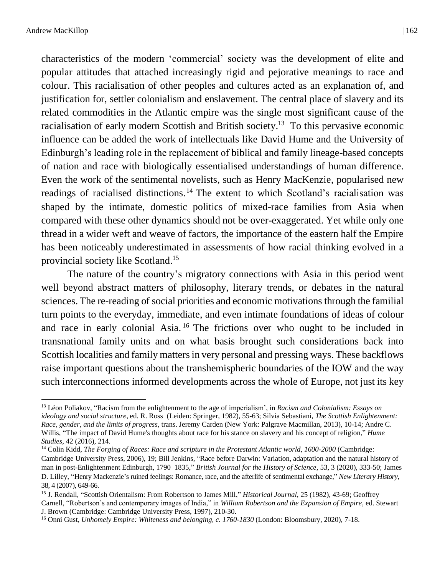characteristics of the modern 'commercial' society was the development of elite and popular attitudes that attached increasingly rigid and pejorative meanings to race and colour. This racialisation of other peoples and cultures acted as an explanation of, and justification for, settler colonialism and enslavement. The central place of slavery and its related commodities in the Atlantic empire was the single most significant cause of the racialisation of early modern Scottish and British society.<sup>13</sup> To this pervasive economic influence can be added the work of intellectuals like David Hume and the University of Edinburgh's leading role in the replacement of biblical and family lineage-based concepts of nation and race with biologically essentialised understandings of human difference. Even the work of the sentimental novelists, such as Henry MacKenzie, popularised new readings of racialised distinctions.<sup>14</sup> The extent to which Scotland's racialisation was shaped by the intimate, domestic politics of mixed-race families from Asia when compared with these other dynamics should not be over-exaggerated. Yet while only one thread in a wider weft and weave of factors, the importance of the eastern half the Empire has been noticeably underestimated in assessments of how racial thinking evolved in a provincial society like Scotland. 15

The nature of the country's migratory connections with Asia in this period went well beyond abstract matters of philosophy, literary trends, or debates in the natural sciences. The re-reading of social priorities and economic motivations through the familial turn points to the everyday, immediate, and even intimate foundations of ideas of colour and race in early colonial Asia. <sup>16</sup> The frictions over who ought to be included in transnational family units and on what basis brought such considerations back into Scottish localities and family matters in very personal and pressing ways. These backflows raise important questions about the transhemispheric boundaries of the IOW and the way such interconnections informed developments across the whole of Europe, not just its key

<sup>13</sup> Léon Poliakov, "Racism from the enlightenment to the age of imperialism', in *Racism and Colonialism: Essays on ideology and social structure*, ed. R. Ross (Leiden: Springer, 1982), 55-63; Silvia Sebastiani, *The Scottish Enlightenment: Race, gender, and the limits of progress*, trans. Jeremy Carden (New York: Palgrave Macmillan, 2013), 10-14; Andre C. Willis, "The impact of David Hume's thoughts about race for his stance on slavery and his concept of religion," *Hume Studies*, 42 (2016), 214.

<sup>14</sup> Colin Kidd, *The Forging of Races: Race and scripture in the Protestant Atlantic world, 1600-2000* (Cambridge: Cambridge University Press, 2006), 19; Bill Jenkins, "Race before Darwin: Variation, adaptation and the natural history of man in post-Enlightenment Edinburgh, 1790–1835," *British Journal for the History of Science*, 53, 3 (2020), 333-50; James D. Lilley, "Henry Mackenzie's ruined feelings: Romance, race, and the afterlife of sentimental exchange," *New Literary History*, 38, 4 (2007), 649-66.

<sup>15</sup> J. Rendall, "Scottish Orientalism: From Robertson to James Mill," *Historical Journal*, 25 (1982), 43-69; Geoffrey Carnell, "Robertson's and contemporary images of India," in *William Robertson and the Expansion of Empire*, ed. Stewart J. Brown (Cambridge: Cambridge University Press, 1997), 210-30.

<sup>16</sup> Onni Gust, *Unhomely Empire: Whiteness and belonging, c. 1760-1830* (London: Bloomsbury, 2020), 7-18.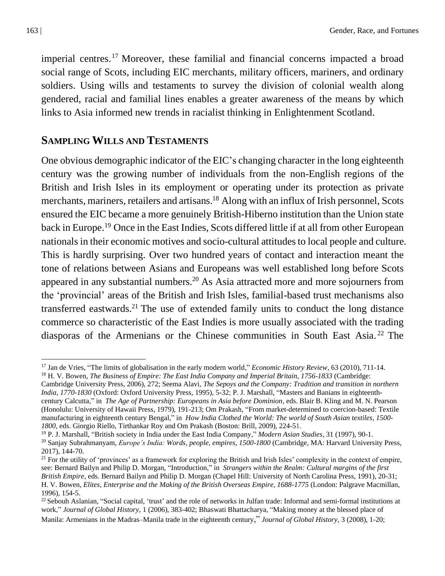imperial centres. <sup>17</sup> Moreover, these familial and financial concerns impacted a broad social range of Scots, including EIC merchants, military officers, mariners, and ordinary soldiers. Using wills and testaments to survey the division of colonial wealth along gendered, racial and familial lines enables a greater awareness of the means by which links to Asia informed new trends in racialist thinking in Enlightenment Scotland.

#### **SAMPLING WILLS AND TESTAMENTS**

One obvious demographic indicator of the EIC's changing character in the long eighteenth century was the growing number of individuals from the non-English regions of the British and Irish Isles in its employment or operating under its protection as private merchants, mariners, retailers and artisans.<sup>18</sup> Along with an influx of Irish personnel, Scots ensured the EIC became a more genuinely British-Hiberno institution than the Union state back in Europe.<sup>19</sup> Once in the East Indies, Scots differed little if at all from other European nationals in their economic motives and socio-cultural attitudes to local people and culture. This is hardly surprising. Over two hundred years of contact and interaction meant the tone of relations between Asians and Europeans was well established long before Scots appeared in any substantial numbers.<sup>20</sup> As Asia attracted more and more sojourners from the 'provincial' areas of the British and Irish Isles, familial-based trust mechanisms also transferred eastwards.<sup>21</sup> The use of extended family units to conduct the long distance commerce so characteristic of the East Indies is more usually associated with the trading diasporas of the Armenians or the Chinese communities in South East Asia. <sup>22</sup> The

<sup>17</sup> Jan de Vries, "The limits of globalisation in the early modern world," *Economic History Review*, 63 (2010), 711-14. <sup>18</sup> H. V. Bowen, *The Business of Empire: The East India Company and Imperial Britain, 1756-1833* (Cambridge:

Cambridge University Press, 2006), 272; Seema Alavi, *The Sepoys and the Company: Tradition and transition in northern India, 1770-1830* (Oxford: Oxford University Press, 1995), 5-32; P. J. Marshall, "Masters and Banians in eighteenthcentury Calcutta," in *The Age of Partnership: Europeans in Asia before Dominion*, eds. Blair B. Kling and M. N. Pearson (Honolulu: University of Hawaii Press, 1979), 191-213; Om Prakash, "From market-determined to coercion-based: Textile manufacturing in eighteenth century Bengal," in *How India Clothed the World: The world of South Asian textiles, 1500- 1800*, eds. Giorgio Riello, Tirthankar Roy and Om Prakash (Boston: Brill, 2009), 224-51.

<sup>19</sup> P. J. Marshall, "British society in India under the East India Company," *Modern Asian Studies*, 31 (1997), 90-1.

<sup>20</sup> Sanjay Subrahmanyam, *Europe's India: Words, people, empires, 1500-1800* (Cambridge, MA: Harvard University Press, 2017), 144-70.

 $21$  For the utility of 'provinces' as a framework for exploring the British and Irish Isles' complexity in the context of empire, see: Bernard Bailyn and Philip D. Morgan, "Introduction," in *Strangers within the Realm: Cultural margins of the first British Empire*, eds. Bernard Bailyn and Philip D. Morgan (Chapel Hill: University of North Carolina Press, 1991), 20-31; H. V. Bowen, *Elites, Enterprise and the Making of the British Overseas Empire, 1688-1775* (London: Palgrave Macmillan, 1996), 154-5.

 $^{22}$  Sebouh Aslanian, "Social capital, 'trust' and the role of networks in Julfan trade: Informal and semi-formal institutions at work," *Journal of Global History*, 1 (2006), 383-402; Bhaswati Bhattacharya, "Making money at the blessed place of Manila: Armenians in the Madras–Manila trade in the eighteenth century," *Journal of Global History*, 3 (2008), 1-20;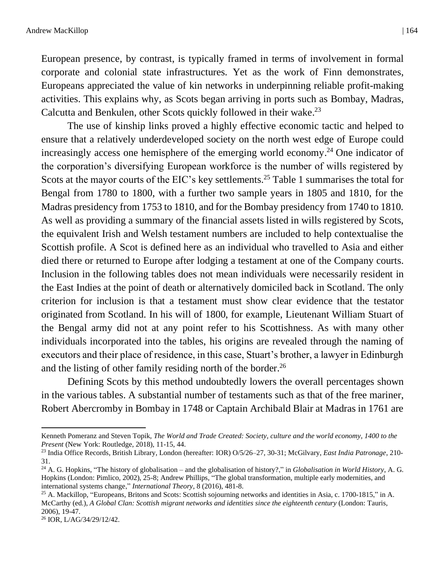European presence, by contrast, is typically framed in terms of involvement in formal corporate and colonial state infrastructures. Yet as the work of Finn demonstrates, Europeans appreciated the value of kin networks in underpinning reliable profit-making activities. This explains why, as Scots began arriving in ports such as Bombay, Madras, Calcutta and Benkulen, other Scots quickly followed in their wake.<sup>23</sup>

The use of kinship links proved a highly effective economic tactic and helped to ensure that a relatively underdeveloped society on the north west edge of Europe could increasingly access one hemisphere of the emerging world economy. <sup>24</sup> One indicator of the corporation's diversifying European workforce is the number of wills registered by Scots at the mayor courts of the EIC's key settlements.<sup>25</sup> Table 1 summarises the total for Bengal from 1780 to 1800, with a further two sample years in 1805 and 1810, for the Madras presidency from 1753 to 1810, and for the Bombay presidency from 1740 to 1810. As well as providing a summary of the financial assets listed in wills registered by Scots, the equivalent Irish and Welsh testament numbers are included to help contextualise the Scottish profile. A Scot is defined here as an individual who travelled to Asia and either died there or returned to Europe after lodging a testament at one of the Company courts. Inclusion in the following tables does not mean individuals were necessarily resident in the East Indies at the point of death or alternatively domiciled back in Scotland. The only criterion for inclusion is that a testament must show clear evidence that the testator originated from Scotland. In his will of 1800, for example, Lieutenant William Stuart of the Bengal army did not at any point refer to his Scottishness. As with many other individuals incorporated into the tables, his origins are revealed through the naming of executors and their place of residence, in this case, Stuart's brother, a lawyer in Edinburgh and the listing of other family residing north of the border. 26

Defining Scots by this method undoubtedly lowers the overall percentages shown in the various tables. A substantial number of testaments such as that of the free mariner, Robert Abercromby in Bombay in 1748 or Captain Archibald Blair at Madras in 1761 are

Kenneth Pomeranz and Steven Topik, *The World and Trade Created: Society, culture and the world economy, 1400 to the Present* (New York: Routledge, 2018), 11-15, 44.

<sup>23</sup> India Office Records, British Library, London (hereafter: IOR) O/5/26–27, 30-31; McGilvary, *East India Patronage*, 210- 31.

<sup>24</sup> A. G. Hopkins, "The history of globalisation – and the globalisation of history?," in *Globalisation in World History*, A. G. Hopkins (London: Pimlico, 2002), 25-8; Andrew Phillips, "The global transformation, multiple early modernities, and international systems change," *International Theory*, 8 (2016), 481-8.

<sup>&</sup>lt;sup>25</sup> A. Mackillop, "Europeans, Britons and Scots: Scottish sojourning networks and identities in Asia, c. 1700-1815," in A. McCarthy (ed.), *A Global Clan: Scottish migrant networks and identities since the eighteenth century* (London: Tauris, 2006), 19-47.

<sup>26</sup> IOR, L/AG/34/29/12/42.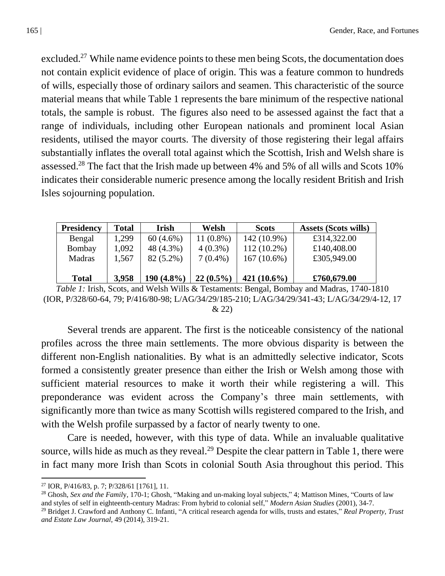excluded.<sup>27</sup> While name evidence points to these men being Scots, the documentation does not contain explicit evidence of place of origin. This was a feature common to hundreds of wills, especially those of ordinary sailors and seamen. This characteristic of the source material means that while Table 1 represents the bare minimum of the respective national totals, the sample is robust. The figures also need to be assessed against the fact that a range of individuals, including other European nationals and prominent local Asian residents, utilised the mayor courts. The diversity of those registering their legal affairs substantially inflates the overall total against which the Scottish, Irish and Welsh share is assessed.<sup>28</sup> The fact that the Irish made up between 4% and 5% of all wills and Scots 10% indicates their considerable numeric presence among the locally resident British and Irish Isles sojourning population.

| <b>Presidency</b> | <b>Total</b> | <b>Irish</b> | Welsh       | <b>Scots</b>   | <b>Assets (Scots wills)</b> |
|-------------------|--------------|--------------|-------------|----------------|-----------------------------|
| Bengal            | 1,299        | $60(4.6\%)$  | $11(0.8\%)$ | 142 (10.9%)    | £314,322.00                 |
| Bombay            | 1,092        | 48 (4.3%)    | $4(0.3\%)$  | 112 (10.2%)    | £140,408.00                 |
| Madras            | 1,567        | $82(5.2\%)$  | $7(0.4\%)$  | $167(10.6\%)$  | £305,949.00                 |
|                   |              |              |             |                |                             |
| <b>Total</b>      | 3,958        | $190(4.8\%)$ | $22(0.5\%)$ | 421 $(10.6\%)$ | £760,679.00                 |

*Table 1:* Irish, Scots, and Welsh Wills & Testaments: Bengal, Bombay and Madras, 1740-1810 (IOR, P/328/60-64, 79; P/416/80-98; L/AG/34/29/185-210; L/AG/34/29/341-43; L/AG/34/29/4-12, 17 & 22)

Several trends are apparent. The first is the noticeable consistency of the national profiles across the three main settlements. The more obvious disparity is between the different non-English nationalities. By what is an admittedly selective indicator, Scots formed a consistently greater presence than either the Irish or Welsh among those with sufficient material resources to make it worth their while registering a will. This preponderance was evident across the Company's three main settlements, with significantly more than twice as many Scottish wills registered compared to the Irish, and with the Welsh profile surpassed by a factor of nearly twenty to one.

Care is needed, however, with this type of data. While an invaluable qualitative source, wills hide as much as they reveal.<sup>29</sup> Despite the clear pattern in Table 1, there were in fact many more Irish than Scots in colonial South Asia throughout this period. This

<sup>&</sup>lt;sup>27</sup> IOR, P/416/83, p. 7; P/328/61 [1761], 11.

<sup>&</sup>lt;sup>28</sup> Ghosh, *Sex and the Family*, 170-1; Ghosh, "Making and un-making loyal subjects," 4; Mattison Mines, "Courts of law and styles of self in eighteenth-century Madras: From hybrid to colonial self," *Modern Asian Studies* (2001), 34-7.

<sup>29</sup> Bridget J. Crawford and Anthony C. Infanti, "A critical research agenda for wills, trusts and estates," *Real Property, Trust and Estate Law Journal*, 49 (2014), 319-21.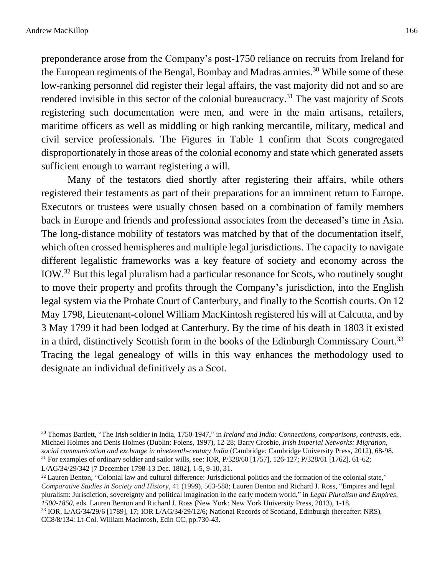preponderance arose from the Company's post-1750 reliance on recruits from Ireland for the European regiments of the Bengal, Bombay and Madras armies.<sup>30</sup> While some of these low-ranking personnel did register their legal affairs, the vast majority did not and so are rendered invisible in this sector of the colonial bureaucracy.<sup>31</sup> The vast majority of Scots registering such documentation were men, and were in the main artisans, retailers, maritime officers as well as middling or high ranking mercantile, military, medical and civil service professionals. The Figures in Table 1 confirm that Scots congregated disproportionately in those areas of the colonial economy and state which generated assets sufficient enough to warrant registering a will.

Many of the testators died shortly after registering their affairs, while others registered their testaments as part of their preparations for an imminent return to Europe. Executors or trustees were usually chosen based on a combination of family members back in Europe and friends and professional associates from the deceased's time in Asia. The long-distance mobility of testators was matched by that of the documentation itself, which often crossed hemispheres and multiple legal jurisdictions. The capacity to navigate different legalistic frameworks was a key feature of society and economy across the IOW.<sup>32</sup> But this legal pluralism had a particular resonance for Scots, who routinely sought to move their property and profits through the Company's jurisdiction, into the English legal system via the Probate Court of Canterbury, and finally to the Scottish courts. On 12 May 1798, Lieutenant-colonel William MacKintosh registered his will at Calcutta, and by 3 May 1799 it had been lodged at Canterbury. By the time of his death in 1803 it existed in a third, distinctively Scottish form in the books of the Edinburgh Commissary Court.<sup>33</sup> Tracing the legal genealogy of wills in this way enhances the methodology used to designate an individual definitively as a Scot.

<sup>30</sup> Thomas Bartlett, "The Irish soldier in India, 1750-1947," in *Ireland and India: Connections, comparisons, contrasts*, eds. Michael Holmes and Denis Holmes (Dublin: Folens, 1997), 12-28; Barry Crosbie, *Irish Imperial Networks: Migration, social communication and exchange in nineteenth-century India* (Cambridge: Cambridge University Press, 2012), 68-98. <sup>31</sup> For examples of ordinary soldier and sailor wills, see: IOR,  $P/328/60$  [1757], 126-127;  $P/328/61$  [1762], 61-62;

L/AG/34/29/342 [7 December 1798-13 Dec. 1802], 1-5, 9-10, 31.

<sup>&</sup>lt;sup>32</sup> Lauren Benton, "Colonial law and cultural difference: Jurisdictional politics and the formation of the colonial state," *Comparative Studies in Society and History*, 41 (1999), 563-588; Lauren Benton and Richard J. Ross, "Empires and legal pluralism: Jurisdiction, sovereignty and political imagination in the early modern world," in *Legal Pluralism and Empires, 1500-1850*, eds. Lauren Benton and Richard J. Ross (New York: New York University Press, 2013), 1-18.

<sup>33</sup> IOR, L/AG/34/29/6 [1789], 17; IOR L/AG/34/29/12/6; National Records of Scotland, Edinburgh (hereafter: NRS), CC8/8/134: Lt-Col. William Macintosh, Edin CC, pp.730-43.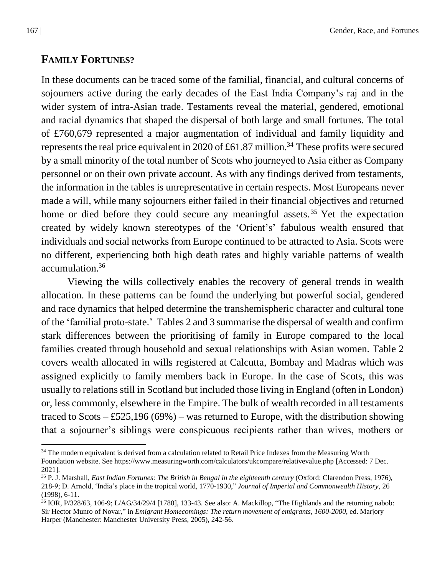## **FAMILY FORTUNES?**

In these documents can be traced some of the familial, financial, and cultural concerns of sojourners active during the early decades of the East India Company's raj and in the wider system of intra-Asian trade. Testaments reveal the material, gendered, emotional and racial dynamics that shaped the dispersal of both large and small fortunes. The total of £760,679 represented a major augmentation of individual and family liquidity and represents the real price equivalent in 2020 of £61.87 million.<sup>34</sup> These profits were secured by a small minority of the total number of Scots who journeyed to Asia either as Company personnel or on their own private account. As with any findings derived from testaments, the information in the tables is unrepresentative in certain respects. Most Europeans never made a will, while many sojourners either failed in their financial objectives and returned home or died before they could secure any meaningful assets.<sup>35</sup> Yet the expectation created by widely known stereotypes of the 'Orient's' fabulous wealth ensured that individuals and social networks from Europe continued to be attracted to Asia. Scots were no different, experiencing both high death rates and highly variable patterns of wealth accumulation. 36

Viewing the wills collectively enables the recovery of general trends in wealth allocation. In these patterns can be found the underlying but powerful social, gendered and race dynamics that helped determine the transhemispheric character and cultural tone of the 'familial proto-state.' Tables 2 and 3 summarise the dispersal of wealth and confirm stark differences between the prioritising of family in Europe compared to the local families created through household and sexual relationships with Asian women. Table 2 covers wealth allocated in wills registered at Calcutta, Bombay and Madras which was assigned explicitly to family members back in Europe. In the case of Scots, this was usually to relations still in Scotland but included those living in England (often in London) or, less commonly, elsewhere in the Empire. The bulk of wealth recorded in all testaments traced to Scots  $-$  £525,196 (69%) – was returned to Europe, with the distribution showing that a sojourner's siblings were conspicuous recipients rather than wives, mothers or

<sup>&</sup>lt;sup>34</sup> The modern equivalent is derived from a calculation related to Retail Price Indexes from the Measuring Worth Foundation website. See<https://www.measuringworth.com/calculators/ukcompare/relativevalue.php> [Accessed: 7 Dec. 2021].

<sup>35</sup> P. J. Marshall, *East Indian Fortunes: The British in Bengal in the eighteenth century* (Oxford: Clarendon Press, 1976), 218-9; D. Arnold, 'India's place in the tropical world, 1770-1930," *Journal of Imperial and Commonwealth History*, 26 (1998), 6-11.

 $36$  IOR, P/328/63, 106-9; L/AG/34/29/4 [1780], 133-43. See also: A. Mackillop, "The Highlands and the returning nabob: Sir Hector Munro of Novar," in *Emigrant Homecomings: The return movement of emigrants, 1600-2000*, ed. Marjory Harper (Manchester: Manchester University Press, 2005), 242-56.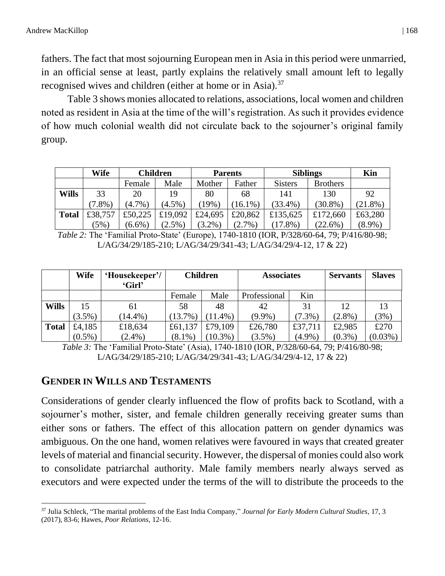fathers. The fact that most sojourning European men in Asia in this period were unmarried, in an official sense at least, partly explains the relatively small amount left to legally recognised wives and children (either at home or in Asia).<sup>37</sup>

Table 3 shows monies allocated to relations, associations, local women and children noted as resident in Asia at the time of the will's registration. As such it provides evidence of how much colonial wealth did not circulate back to the sojourner's original family group.

|              | Wife      | Children  |           | <b>Parents</b> |           | <b>Siblings</b> |                 | Kin        |
|--------------|-----------|-----------|-----------|----------------|-----------|-----------------|-----------------|------------|
|              |           | Female    | Male      | Mother         | Father    | <b>Sisters</b>  | <b>Brothers</b> |            |
| <b>Wills</b> | 33        | 20        | 19        | 80             | 68        | 141             | 130             | 92         |
|              | $(7.8\%)$ | $(4.7\%)$ | $(4.5\%)$ | 19%            | $16.1\%$  | $(33.4\%)$      | $(30.8\%)$      | $(21.8\%)$ |
| <b>Total</b> | £38,757   | £50,225   | £19,092   | £24,695        | £20,862   | £135,625        | £172,660        | £63,280    |
|              | (5%)      | $(6.6\%)$ | $(2.5\%)$ | $(3.2\%)$      | $(2.7\%)$ | $(17.8\%)$      | $(22.6\%)$      | $(8.9\%)$  |

*Table 2:* The 'Familial Proto-State' (Europe), 1740-1810 (IOR, P/328/60-64, 79; P/416/80-98; L/AG/34/29/185-210; L/AG/34/29/341-43; L/AG/34/29/4-12, 17 & 22)

|              | Wife      | 'Housekeeper'/<br>'Girl' | <b>Children</b> |            | <b>Associates</b> |           | <b>Servants</b> | <b>Slaves</b> |
|--------------|-----------|--------------------------|-----------------|------------|-------------------|-----------|-----------------|---------------|
|              |           |                          | Female          | Male       | Professional      | Kin       |                 |               |
| <b>Wills</b> | 15        | 61                       | 58              | 48         | 42                | 31        | 12              | 13            |
|              | $(3.5\%)$ | $14.4\%$ )               | $(13.7\%)$      | 11.4%)     | $(9.9\%)$         | $(7.3\%)$ | $(2.8\%)$       | (3%)          |
| <b>Total</b> | £4,185    | £18,634                  | £61,137         | £79,109    | £26,780           | £37,711   | £2,985          | £270          |
|              | $(0.5\%)$ | $(2.4\%)$                | $(8.1\%)$       | $10.3\%$ ) | $(3.5\%)$         | $(4.9\%)$ | $(0.3\%)$       | $(0.03\%)$    |

*Table 3:* The 'Familial Proto-State' (Asia), 1740-1810 (IOR, P/328/60-64, 79; P/416/80-98; L/AG/34/29/185-210; L/AG/34/29/341-43; L/AG/34/29/4-12, 17 & 22)

# **GENDER IN WILLS AND TESTAMENTS**

Considerations of gender clearly influenced the flow of profits back to Scotland, with a sojourner's mother, sister, and female children generally receiving greater sums than either sons or fathers. The effect of this allocation pattern on gender dynamics was ambiguous. On the one hand, women relatives were favoured in ways that created greater levels of material and financial security. However, the dispersal of monies could also work to consolidate patriarchal authority. Male family members nearly always served as executors and were expected under the terms of the will to distribute the proceeds to the

<sup>37</sup> Julia Schleck, "The marital problems of the East India Company," *Journal for Early Modern Cultural Studies*, 17, 3 (2017), 83-6; Hawes, *Poor Relations*, 12-16.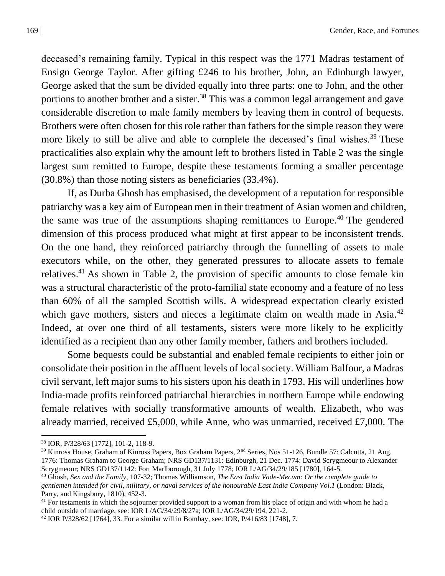deceased's remaining family. Typical in this respect was the 1771 Madras testament of Ensign George Taylor. After gifting £246 to his brother, John, an Edinburgh lawyer, George asked that the sum be divided equally into three parts: one to John, and the other portions to another brother and a sister.<sup>38</sup> This was a common legal arrangement and gave considerable discretion to male family members by leaving them in control of bequests. Brothers were often chosen for this role rather than fathers for the simple reason they were more likely to still be alive and able to complete the deceased's final wishes.<sup>39</sup> These practicalities also explain why the amount left to brothers listed in Table 2 was the single largest sum remitted to Europe, despite these testaments forming a smaller percentage (30.8%) than those noting sisters as beneficiaries (33.4%).

If, as Durba Ghosh has emphasised, the development of a reputation for responsible patriarchy was a key aim of European men in their treatment of Asian women and children, the same was true of the assumptions shaping remittances to Europe.<sup>40</sup> The gendered dimension of this process produced what might at first appear to be inconsistent trends. On the one hand, they reinforced patriarchy through the funnelling of assets to male executors while, on the other, they generated pressures to allocate assets to female relatives.<sup>41</sup> As shown in Table 2, the provision of specific amounts to close female kin was a structural characteristic of the proto-familial state economy and a feature of no less than 60% of all the sampled Scottish wills. A widespread expectation clearly existed which gave mothers, sisters and nieces a legitimate claim on wealth made in Asia.<sup>42</sup> Indeed, at over one third of all testaments, sisters were more likely to be explicitly identified as a recipient than any other family member, fathers and brothers included.

Some bequests could be substantial and enabled female recipients to either join or consolidate their position in the affluent levels of local society. William Balfour, a Madras civil servant, left major sums to his sisters upon his death in 1793. His will underlines how India-made profits reinforced patriarchal hierarchies in northern Europe while endowing female relatives with socially transformative amounts of wealth. Elizabeth, who was already married, received £5,000, while Anne, who was unmarried, received £7,000. The

<sup>38</sup> IOR, P/328/63 [1772], 101-2, 118-9.

<sup>&</sup>lt;sup>39</sup> Kinross House, Graham of Kinross Papers, Box Graham Papers, 2<sup>nd</sup> Series, Nos 51-126, Bundle 57: Calcutta, 21 Aug. 1776: Thomas Graham to George Graham; NRS GD137/1131: Edinburgh, 21 Dec. 1774: David Scrygmeour to Alexander Scrygmeour; NRS GD137/1142: Fort Marlborough, 31 July 1778; IOR L/AG/34/29/185 [1780], 164-5.

<sup>40</sup> Ghosh, *Sex and the Family*, 107-32; Thomas Williamson, *The East India Vade-Mecum: Or the complete guide to gentlemen intended for civil, military, or naval services of the honourable East India Company Vol.1* (London: Black, Parry, and Kingsbury, 1810), 452-3.

 $41$  For testaments in which the sojourner provided support to a woman from his place of origin and with whom he had a child outside of marriage, see: IOR L/AG/34/29/8/27a; IOR L/AG/34/29/194, 221-2.

 $42$  IOR P/328/62 [1764], 33. For a similar will in Bombay, see: IOR, P/416/83 [1748], 7.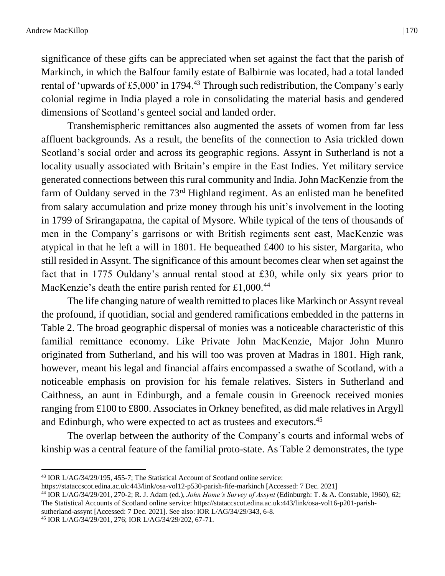significance of these gifts can be appreciated when set against the fact that the parish of Markinch, in which the Balfour family estate of Balbirnie was located, had a total landed rental of 'upwards of £5,000' in 1794.<sup>43</sup> Through such redistribution, the Company's early colonial regime in India played a role in consolidating the material basis and gendered dimensions of Scotland's genteel social and landed order.

Transhemispheric remittances also augmented the assets of women from far less affluent backgrounds. As a result, the benefits of the connection to Asia trickled down Scotland's social order and across its geographic regions. Assynt in Sutherland is not a locality usually associated with Britain's empire in the East Indies. Yet military service generated connections between this rural community and India. John MacKenzie from the farm of Ouldany served in the 73<sup>rd</sup> Highland regiment. As an enlisted man he benefited from salary accumulation and prize money through his unit's involvement in the looting in 1799 of Srirangapatna, the capital of Mysore. While typical of the tens of thousands of men in the Company's garrisons or with British regiments sent east, MacKenzie was atypical in that he left a will in 1801. He bequeathed £400 to his sister, Margarita, who still resided in Assynt. The significance of this amount becomes clear when set against the fact that in 1775 Ouldany's annual rental stood at £30, while only six years prior to MacKenzie's death the entire parish rented for £1,000.<sup>44</sup>

The life changing nature of wealth remitted to places like Markinch or Assynt reveal the profound, if quotidian, social and gendered ramifications embedded in the patterns in Table 2. The broad geographic dispersal of monies was a noticeable characteristic of this familial remittance economy. Like Private John MacKenzie, Major John Munro originated from Sutherland, and his will too was proven at Madras in 1801. High rank, however, meant his legal and financial affairs encompassed a swathe of Scotland, with a noticeable emphasis on provision for his female relatives. Sisters in Sutherland and Caithness, an aunt in Edinburgh, and a female cousin in Greenock received monies ranging from £100 to £800. Associates in Orkney benefited, as did male relatives in Argyll and Edinburgh, who were expected to act as trustees and executors.<sup>45</sup>

The overlap between the authority of the Company's courts and informal webs of kinship was a central feature of the familial proto-state. As Table 2 demonstrates, the type

[sutherland-assynt](https://stataccscot.edina.ac.uk/link/osa-vol16-p201-parish-sutherland-assynt) [Accessed: 7 Dec. 2021]. See also: IOR L/AG/34/29/343, 6-8.

<sup>43</sup> IOR L/AG/34/29/195, 455-7; The Statistical Account of Scotland online service:

[https://stataccscot.edina.ac.uk:443/link/osa-vol12-p530-parish-fife-markinch](https://stataccscot.edina.ac.uk/link/osa-vol12-p530-parish-fife-markinch) [Accessed: 7 Dec. 2021]

<sup>44</sup> IOR L/AG/34/29/201, 270-2; R. J. Adam (ed.), *John Home's Survey of Assynt* (Edinburgh: T. & A. Constable, 1960), 62; The Statistical Accounts of Scotland online service[: https://stataccscot.edina.ac.uk:443/link/osa-vol16-p201-parish-](https://stataccscot.edina.ac.uk/link/osa-vol16-p201-parish-sutherland-assynt)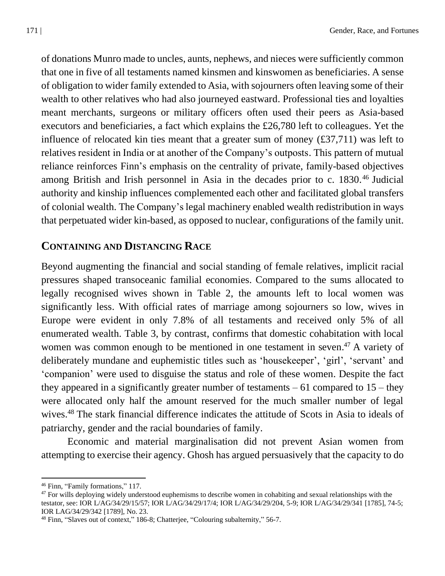of donations Munro made to uncles, aunts, nephews, and nieces were sufficiently common that one in five of all testaments named kinsmen and kinswomen as beneficiaries. A sense of obligation to wider family extended to Asia, with sojourners often leaving some of their wealth to other relatives who had also journeyed eastward. Professional ties and loyalties meant merchants, surgeons or military officers often used their peers as Asia-based executors and beneficiaries, a fact which explains the £26,780 left to colleagues. Yet the influence of relocated kin ties meant that a greater sum of money (£37,711) was left to relatives resident in India or at another of the Company's outposts. This pattern of mutual reliance reinforces Finn's emphasis on the centrality of private, family-based objectives among British and Irish personnel in Asia in the decades prior to c. 1830. <sup>46</sup> Judicial authority and kinship influences complemented each other and facilitated global transfers of colonial wealth. The Company's legal machinery enabled wealth redistribution in ways that perpetuated wider kin-based, as opposed to nuclear, configurations of the family unit.

#### **CONTAINING AND DISTANCING RACE**

Beyond augmenting the financial and social standing of female relatives, implicit racial pressures shaped transoceanic familial economies. Compared to the sums allocated to legally recognised wives shown in Table 2, the amounts left to local women was significantly less. With official rates of marriage among sojourners so low, wives in Europe were evident in only 7.8% of all testaments and received only 5% of all enumerated wealth. Table 3, by contrast, confirms that domestic cohabitation with local women was common enough to be mentioned in one testament in seven.<sup>47</sup> A variety of deliberately mundane and euphemistic titles such as 'housekeeper', 'girl', 'servant' and 'companion' were used to disguise the status and role of these women. Despite the fact they appeared in a significantly greater number of testaments  $-61$  compared to  $15$  – they were allocated only half the amount reserved for the much smaller number of legal wives.<sup>48</sup> The stark financial difference indicates the attitude of Scots in Asia to ideals of patriarchy, gender and the racial boundaries of family.

Economic and material marginalisation did not prevent Asian women from attempting to exercise their agency. Ghosh has argued persuasively that the capacity to do

<sup>46</sup> Finn, "Family formations," 117.

 $47$  For wills deploying widely understood euphemisms to describe women in cohabiting and sexual relationships with the testator, see: IOR L/AG/34/29/15/57; IOR L/AG/34/29/17/4; IOR L/AG/34/29/204, 5-9; IOR L/AG/34/29/341 [1785], 74-5; IOR LAG/34/29/342 [1789], No. 23.

<sup>48</sup> Finn, "Slaves out of context," 186-8; Chatterjee, "Colouring subalternity," 56-7.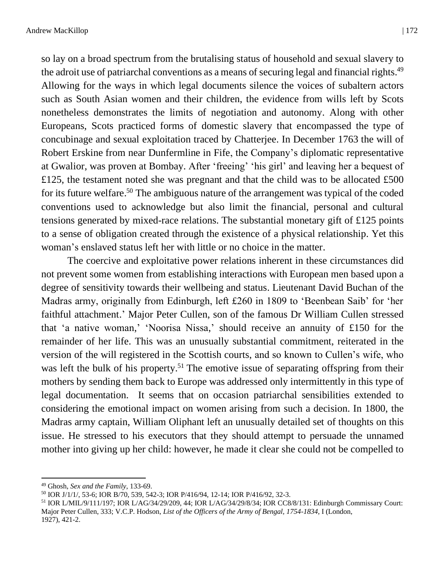so lay on a broad spectrum from the brutalising status of household and sexual slavery to the adroit use of patriarchal conventions as a means of securing legal and financial rights.<sup>49</sup> Allowing for the ways in which legal documents silence the voices of subaltern actors such as South Asian women and their children, the evidence from wills left by Scots nonetheless demonstrates the limits of negotiation and autonomy. Along with other Europeans, Scots practiced forms of domestic slavery that encompassed the type of concubinage and sexual exploitation traced by Chatterjee. In December 1763 the will of Robert Erskine from near Dunfermline in Fife, the Company's diplomatic representative at Gwalior, was proven at Bombay. After 'freeing' 'his girl' and leaving her a bequest of £125, the testament noted she was pregnant and that the child was to be allocated £500 for its future welfare.<sup>50</sup> The ambiguous nature of the arrangement was typical of the coded conventions used to acknowledge but also limit the financial, personal and cultural tensions generated by mixed-race relations. The substantial monetary gift of £125 points to a sense of obligation created through the existence of a physical relationship. Yet this woman's enslaved status left her with little or no choice in the matter.

The coercive and exploitative power relations inherent in these circumstances did not prevent some women from establishing interactions with European men based upon a degree of sensitivity towards their wellbeing and status. Lieutenant David Buchan of the Madras army, originally from Edinburgh, left £260 in 1809 to 'Beenbean Saib' for 'her faithful attachment.' Major Peter Cullen, son of the famous Dr William Cullen stressed that 'a native woman,' 'Noorisa Nissa,' should receive an annuity of £150 for the remainder of her life. This was an unusually substantial commitment, reiterated in the version of the will registered in the Scottish courts, and so known to Cullen's wife, who was left the bulk of his property.<sup>51</sup> The emotive issue of separating offspring from their mothers by sending them back to Europe was addressed only intermittently in this type of legal documentation. It seems that on occasion patriarchal sensibilities extended to considering the emotional impact on women arising from such a decision. In 1800, the Madras army captain, William Oliphant left an unusually detailed set of thoughts on this issue. He stressed to his executors that they should attempt to persuade the unnamed mother into giving up her child: however, he made it clear she could not be compelled to

<sup>49</sup> Ghosh, *Sex and the Family*, 133-69.

<sup>50</sup> IOR J/1/1/, 53-6; IOR B/70, 539, 542-3; IOR P/416/94, 12-14; IOR P/416/92, 32-3.

<sup>51</sup> IOR L/MIL/9/111/197; IOR L/AG/34/29/209, 44; IOR L/AG/34/29/8/34; IOR CC8/8/131: Edinburgh Commissary Court: Major Peter Cullen, 333; V.C.P. Hodson, *List of the Officers of the Army of Bengal, 1754-1834*, I (London, 1927), 421-2.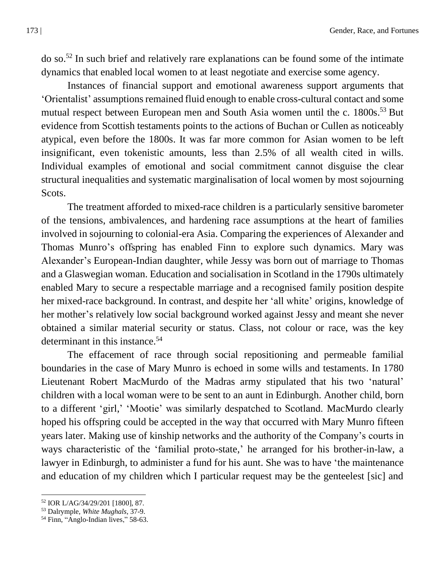$\alpha$  so.<sup>52</sup> In such brief and relatively rare explanations can be found some of the intimate dynamics that enabled local women to at least negotiate and exercise some agency.

Instances of financial support and emotional awareness support arguments that 'Orientalist' assumptions remained fluid enough to enable cross-cultural contact and some mutual respect between European men and South Asia women until the c. 1800s.<sup>53</sup> But evidence from Scottish testaments points to the actions of Buchan or Cullen as noticeably atypical, even before the 1800s. It was far more common for Asian women to be left insignificant, even tokenistic amounts, less than 2.5% of all wealth cited in wills. Individual examples of emotional and social commitment cannot disguise the clear structural inequalities and systematic marginalisation of local women by most sojourning Scots.

The treatment afforded to mixed-race children is a particularly sensitive barometer of the tensions, ambivalences, and hardening race assumptions at the heart of families involved in sojourning to colonial-era Asia. Comparing the experiences of Alexander and Thomas Munro's offspring has enabled Finn to explore such dynamics. Mary was Alexander's European-Indian daughter, while Jessy was born out of marriage to Thomas and a Glaswegian woman. Education and socialisation in Scotland in the 1790s ultimately enabled Mary to secure a respectable marriage and a recognised family position despite her mixed-race background. In contrast, and despite her 'all white' origins, knowledge of her mother's relatively low social background worked against Jessy and meant she never obtained a similar material security or status. Class, not colour or race, was the key determinant in this instance.<sup>54</sup>

The effacement of race through social repositioning and permeable familial boundaries in the case of Mary Munro is echoed in some wills and testaments. In 1780 Lieutenant Robert MacMurdo of the Madras army stipulated that his two 'natural' children with a local woman were to be sent to an aunt in Edinburgh. Another child, born to a different 'girl,' 'Mootie' was similarly despatched to Scotland. MacMurdo clearly hoped his offspring could be accepted in the way that occurred with Mary Munro fifteen years later. Making use of kinship networks and the authority of the Company's courts in ways characteristic of the 'familial proto-state,' he arranged for his brother-in-law, a lawyer in Edinburgh, to administer a fund for his aunt. She was to have 'the maintenance and education of my children which I particular request may be the genteelest [sic] and

<sup>52</sup> IOR L/AG/34/29/201 [1800], 87.

<sup>53</sup> Dalrymple, *White Mughals*, 37-9.

<sup>&</sup>lt;sup>54</sup> Finn, "Anglo-Indian lives," 58-63.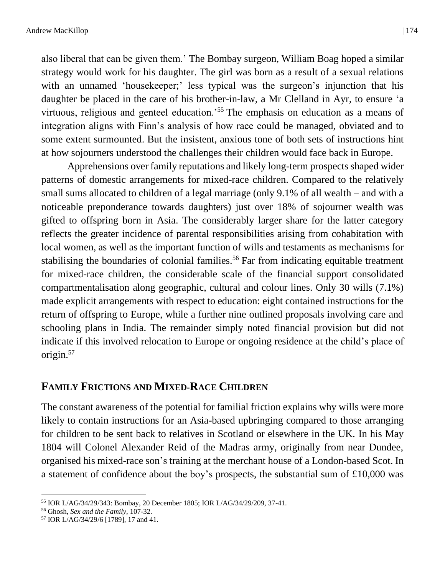also liberal that can be given them.' The Bombay surgeon, William Boag hoped a similar strategy would work for his daughter. The girl was born as a result of a sexual relations with an unnamed 'housekeeper;' less typical was the surgeon's injunction that his daughter be placed in the care of his brother-in-law, a Mr Clelland in Ayr, to ensure 'a virtuous, religious and genteel education.'<sup>55</sup> The emphasis on education as a means of integration aligns with Finn's analysis of how race could be managed, obviated and to some extent surmounted. But the insistent, anxious tone of both sets of instructions hint at how sojourners understood the challenges their children would face back in Europe.

Apprehensions over family reputations and likely long-term prospects shaped wider patterns of domestic arrangements for mixed-race children. Compared to the relatively small sums allocated to children of a legal marriage (only 9.1% of all wealth – and with a noticeable preponderance towards daughters) just over 18% of sojourner wealth was gifted to offspring born in Asia. The considerably larger share for the latter category reflects the greater incidence of parental responsibilities arising from cohabitation with local women, as well as the important function of wills and testaments as mechanisms for stabilising the boundaries of colonial families.<sup>56</sup> Far from indicating equitable treatment for mixed-race children, the considerable scale of the financial support consolidated compartmentalisation along geographic, cultural and colour lines. Only 30 wills (7.1%) made explicit arrangements with respect to education: eight contained instructions for the return of offspring to Europe, while a further nine outlined proposals involving care and schooling plans in India. The remainder simply noted financial provision but did not indicate if this involved relocation to Europe or ongoing residence at the child's place of origin. 57

#### **FAMILY FRICTIONS AND MIXED-RACE CHILDREN**

The constant awareness of the potential for familial friction explains why wills were more likely to contain instructions for an Asia-based upbringing compared to those arranging for children to be sent back to relatives in Scotland or elsewhere in the UK. In his May 1804 will Colonel Alexander Reid of the Madras army, originally from near Dundee, organised his mixed-race son's training at the merchant house of a London-based Scot. In a statement of confidence about the boy's prospects, the substantial sum of £10,000 was

<sup>55</sup> IOR L/AG/34/29/343: Bombay, 20 December 1805; IOR L/AG/34/29/209, 37-41.

<sup>56</sup> Ghosh, *Sex and the Family*, 107-32.

<sup>57</sup> IOR L/AG/34/29/6 [1789], 17 and 41.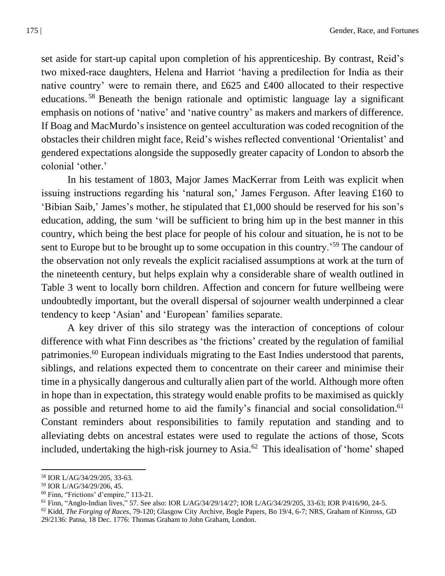set aside for start-up capital upon completion of his apprenticeship. By contrast, Reid's two mixed-race daughters, Helena and Harriot 'having a predilection for India as their native country' were to remain there, and £625 and £400 allocated to their respective educations. <sup>58</sup> Beneath the benign rationale and optimistic language lay a significant emphasis on notions of 'native' and 'native country' as makers and markers of difference. If Boag and MacMurdo's insistence on genteel acculturation was coded recognition of the obstacles their children might face, Reid's wishes reflected conventional 'Orientalist' and gendered expectations alongside the supposedly greater capacity of London to absorb the colonial 'other.'

In his testament of 1803, Major James MacKerrar from Leith was explicit when issuing instructions regarding his 'natural son,' James Ferguson. After leaving £160 to 'Bibian Saib,' James's mother, he stipulated that £1,000 should be reserved for his son's education, adding, the sum 'will be sufficient to bring him up in the best manner in this country, which being the best place for people of his colour and situation, he is not to be sent to Europe but to be brought up to some occupation in this country.<sup>59</sup> The candour of the observation not only reveals the explicit racialised assumptions at work at the turn of the nineteenth century, but helps explain why a considerable share of wealth outlined in Table 3 went to locally born children. Affection and concern for future wellbeing were undoubtedly important, but the overall dispersal of sojourner wealth underpinned a clear tendency to keep 'Asian' and 'European' families separate.

A key driver of this silo strategy was the interaction of conceptions of colour difference with what Finn describes as 'the frictions' created by the regulation of familial patrimonies.<sup>60</sup> European individuals migrating to the East Indies understood that parents, siblings, and relations expected them to concentrate on their career and minimise their time in a physically dangerous and culturally alien part of the world. Although more often in hope than in expectation, this strategy would enable profits to be maximised as quickly as possible and returned home to aid the family's financial and social consolidation.<sup>61</sup> Constant reminders about responsibilities to family reputation and standing and to alleviating debts on ancestral estates were used to regulate the actions of those, Scots included, undertaking the high-risk journey to Asia.<sup>62</sup> This idealisation of 'home' shaped

<sup>58</sup> IOR L/AG/34/29/205, 33-63.

<sup>59</sup> IOR L/AG/34/29/206, 45.

<sup>60</sup> Finn, "Frictions' d'empire," 113-21.

<sup>61</sup> Finn, "Anglo-Indian lives," 57. See also: IOR L/AG/34/29/14/27; IOR L/AG/34/29/205, 33-63; IOR P/416/90, 24-5.

<sup>62</sup> Kidd, *The Forging of Races*, 79-120; Glasgow City Archive, Bogle Papers, Bo 19/4, 6-7; NRS, Graham of Kinross, GD 29/2136: Patna, 18 Dec. 1776: Thomas Graham to John Graham, London.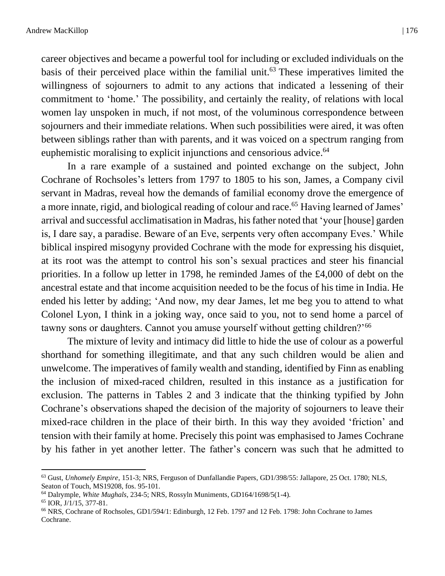career objectives and became a powerful tool for including or excluded individuals on the basis of their perceived place within the familial unit. <sup>63</sup> These imperatives limited the willingness of sojourners to admit to any actions that indicated a lessening of their commitment to 'home.' The possibility, and certainly the reality, of relations with local women lay unspoken in much, if not most, of the voluminous correspondence between sojourners and their immediate relations. When such possibilities were aired, it was often between siblings rather than with parents, and it was voiced on a spectrum ranging from euphemistic moralising to explicit injunctions and censorious advice. 64

In a rare example of a sustained and pointed exchange on the subject, John Cochrane of Rochsoles's letters from 1797 to 1805 to his son, James, a Company civil servant in Madras, reveal how the demands of familial economy drove the emergence of a more innate, rigid, and biological reading of colour and race. <sup>65</sup> Having learned of James' arrival and successful acclimatisation in Madras, his father noted that 'your [house] garden is, I dare say, a paradise. Beware of an Eve, serpents very often accompany Eves.' While biblical inspired misogyny provided Cochrane with the mode for expressing his disquiet, at its root was the attempt to control his son's sexual practices and steer his financial priorities. In a follow up letter in 1798, he reminded James of the £4,000 of debt on the ancestral estate and that income acquisition needed to be the focus of his time in India. He ended his letter by adding; 'And now, my dear James, let me beg you to attend to what Colonel Lyon, I think in a joking way, once said to you, not to send home a parcel of tawny sons or daughters. Cannot you amuse yourself without getting children?'<sup>66</sup>

The mixture of levity and intimacy did little to hide the use of colour as a powerful shorthand for something illegitimate, and that any such children would be alien and unwelcome. The imperatives of family wealth and standing, identified by Finn as enabling the inclusion of mixed-raced children, resulted in this instance as a justification for exclusion. The patterns in Tables 2 and 3 indicate that the thinking typified by John Cochrane's observations shaped the decision of the majority of sojourners to leave their mixed-race children in the place of their birth. In this way they avoided 'friction' and tension with their family at home. Precisely this point was emphasised to James Cochrane by his father in yet another letter. The father's concern was such that he admitted to

<sup>63</sup> Gust, *Unhomely Empire*, 151-3; NRS, Ferguson of Dunfallandie Papers, GD1/398/55: Jallapore, 25 Oct. 1780; NLS, Seaton of Touch, MS19208, fos. 95-101.

<sup>64</sup> Dalrymple, *White Mughals*, 234-5; NRS, Rossyln Muniments, GD164/1698/5(1-4).

<sup>65</sup> IOR, J/1/15, 377-81.

<sup>66</sup> NRS, Cochrane of Rochsoles, GD1/594/1: Edinburgh, 12 Feb. 1797 and 12 Feb. 1798: John Cochrane to James Cochrane.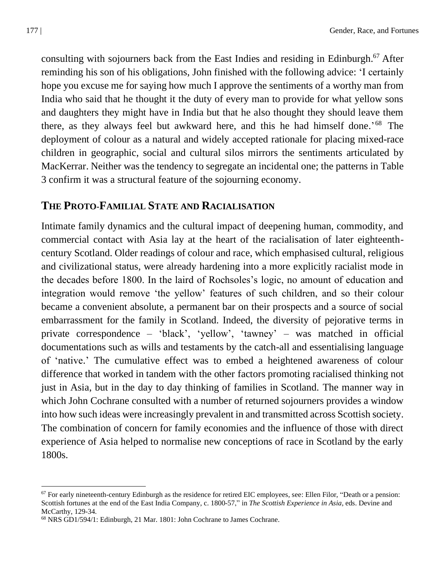consulting with sojourners back from the East Indies and residing in Edinburgh. <sup>67</sup> After reminding his son of his obligations, John finished with the following advice: 'I certainly hope you excuse me for saying how much I approve the sentiments of a worthy man from India who said that he thought it the duty of every man to provide for what yellow sons and daughters they might have in India but that he also thought they should leave them there, as they always feel but awkward here, and this he had himself done.' <sup>68</sup> The deployment of colour as a natural and widely accepted rationale for placing mixed-race children in geographic, social and cultural silos mirrors the sentiments articulated by MacKerrar. Neither was the tendency to segregate an incidental one; the patterns in Table 3 confirm it was a structural feature of the sojourning economy.

### **THE PROTO-FAMILIAL STATE AND RACIALISATION**

Intimate family dynamics and the cultural impact of deepening human, commodity, and commercial contact with Asia lay at the heart of the racialisation of later eighteenthcentury Scotland. Older readings of colour and race, which emphasised cultural, religious and civilizational status, were already hardening into a more explicitly racialist mode in the decades before 1800. In the laird of Rochsoles's logic, no amount of education and integration would remove 'the yellow' features of such children, and so their colour became a convenient absolute, a permanent bar on their prospects and a source of social embarrassment for the family in Scotland. Indeed, the diversity of pejorative terms in private correspondence – 'black', 'yellow', 'tawney' – was matched in official documentations such as wills and testaments by the catch-all and essentialising language of 'native.' The cumulative effect was to embed a heightened awareness of colour difference that worked in tandem with the other factors promoting racialised thinking not just in Asia, but in the day to day thinking of families in Scotland. The manner way in which John Cochrane consulted with a number of returned sojourners provides a window into how such ideas were increasingly prevalent in and transmitted across Scottish society. The combination of concern for family economies and the influence of those with direct experience of Asia helped to normalise new conceptions of race in Scotland by the early 1800s.

 $67$  For early nineteenth-century Edinburgh as the residence for retired EIC employees, see: Ellen Filor, "Death or a pension: Scottish fortunes at the end of the East India Company, c. 1800-57," in *The Scottish Experience in Asia*, eds. Devine and McCarthy, 129-34.

<sup>68</sup> NRS GD1/594/1: Edinburgh, 21 Mar. 1801: John Cochrane to James Cochrane.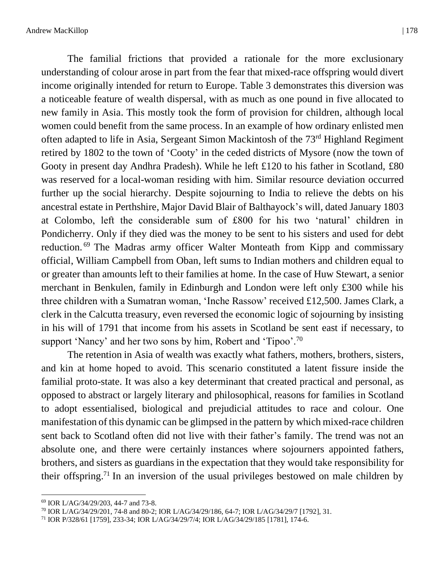The familial frictions that provided a rationale for the more exclusionary understanding of colour arose in part from the fear that mixed-race offspring would divert income originally intended for return to Europe. Table 3 demonstrates this diversion was a noticeable feature of wealth dispersal, with as much as one pound in five allocated to new family in Asia. This mostly took the form of provision for children, although local women could benefit from the same process. In an example of how ordinary enlisted men often adapted to life in Asia, Sergeant Simon Mackintosh of the 73rd Highland Regiment retired by 1802 to the town of 'Cooty' in the ceded districts of Mysore (now the town of Gooty in present day Andhra Pradesh). While he left £120 to his father in Scotland, £80 was reserved for a local-woman residing with him. Similar resource deviation occurred further up the social hierarchy. Despite sojourning to India to relieve the debts on his ancestral estate in Perthshire, Major David Blair of Balthayock's will, dated January 1803 at Colombo, left the considerable sum of £800 for his two 'natural' children in Pondicherry. Only if they died was the money to be sent to his sisters and used for debt reduction.<sup>69</sup> The Madras army officer Walter Monteath from Kipp and commissary official, William Campbell from Oban, left sums to Indian mothers and children equal to or greater than amounts left to their families at home. In the case of Huw Stewart, a senior merchant in Benkulen, family in Edinburgh and London were left only £300 while his three children with a Sumatran woman, 'Inche Rassow' received £12,500. James Clark, a clerk in the Calcutta treasury, even reversed the economic logic of sojourning by insisting in his will of 1791 that income from his assets in Scotland be sent east if necessary, to support 'Nancy' and her two sons by him, Robert and 'Tipoo'.<sup>70</sup>

The retention in Asia of wealth was exactly what fathers, mothers, brothers, sisters, and kin at home hoped to avoid. This scenario constituted a latent fissure inside the familial proto-state. It was also a key determinant that created practical and personal, as opposed to abstract or largely literary and philosophical, reasons for families in Scotland to adopt essentialised, biological and prejudicial attitudes to race and colour. One manifestation of this dynamic can be glimpsed in the pattern by which mixed-race children sent back to Scotland often did not live with their father's family. The trend was not an absolute one, and there were certainly instances where sojourners appointed fathers, brothers, and sisters as guardians in the expectation that they would take responsibility for their offspring. <sup>71</sup> In an inversion of the usual privileges bestowed on male children by

<sup>69</sup> IOR L/AG/34/29/203, 44-7 and 73-8.

<sup>70</sup> IOR L/AG/34/29/201, 74-8 and 80-2; IOR L/AG/34/29/186, 64-7; IOR L/AG/34/29/7 [1792], 31.

<sup>71</sup> IOR P/328/61 [1759], 233-34; IOR L/AG/34/29/7/4; IOR L/AG/34/29/185 [1781], 174-6.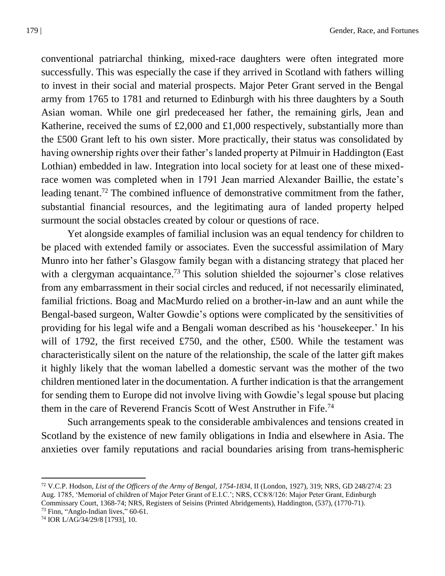conventional patriarchal thinking, mixed-race daughters were often integrated more successfully. This was especially the case if they arrived in Scotland with fathers willing to invest in their social and material prospects. Major Peter Grant served in the Bengal army from 1765 to 1781 and returned to Edinburgh with his three daughters by a South Asian woman. While one girl predeceased her father, the remaining girls, Jean and Katherine, received the sums of  $£2,000$  and  $£1,000$  respectively, substantially more than the £500 Grant left to his own sister. More practically, their status was consolidated by having ownership rights over their father's landed property at Pilmuir in Haddington (East Lothian) embedded in law. Integration into local society for at least one of these mixedrace women was completed when in 1791 Jean married Alexander Baillie, the estate's leading tenant.<sup>72</sup> The combined influence of demonstrative commitment from the father, substantial financial resources, and the legitimating aura of landed property helped surmount the social obstacles created by colour or questions of race.

Yet alongside examples of familial inclusion was an equal tendency for children to be placed with extended family or associates. Even the successful assimilation of Mary Munro into her father's Glasgow family began with a distancing strategy that placed her with a clergyman acquaintance.<sup>73</sup> This solution shielded the sojourner's close relatives from any embarrassment in their social circles and reduced, if not necessarily eliminated, familial frictions. Boag and MacMurdo relied on a brother-in-law and an aunt while the Bengal-based surgeon, Walter Gowdie's options were complicated by the sensitivities of providing for his legal wife and a Bengali woman described as his 'housekeeper.' In his will of 1792, the first received £750, and the other, £500. While the testament was characteristically silent on the nature of the relationship, the scale of the latter gift makes it highly likely that the woman labelled a domestic servant was the mother of the two children mentioned later in the documentation. A further indication is that the arrangement for sending them to Europe did not involve living with Gowdie's legal spouse but placing them in the care of Reverend Francis Scott of West Anstruther in Fife.<sup>74</sup>

Such arrangements speak to the considerable ambivalences and tensions created in Scotland by the existence of new family obligations in India and elsewhere in Asia. The anxieties over family reputations and racial boundaries arising from trans-hemispheric

<sup>72</sup> V.C.P. Hodson, *List of the Officers of the Army of Bengal, 1754-1834*, II (London, 1927), 319; NRS, GD 248/27/4: 23 Aug. 1785, 'Memorial of children of Major Peter Grant of E.I.C.'; NRS, CC8/8/126: Major Peter Grant, Edinburgh Commissary Court, 1368-74; NRS, Registers of Seisins (Printed Abridgements), Haddington, (537), (1770-71).

<sup>73</sup> Finn, "Anglo-Indian lives," 60-61.

<sup>74</sup> IOR L/AG/34/29/8 [1793], 10.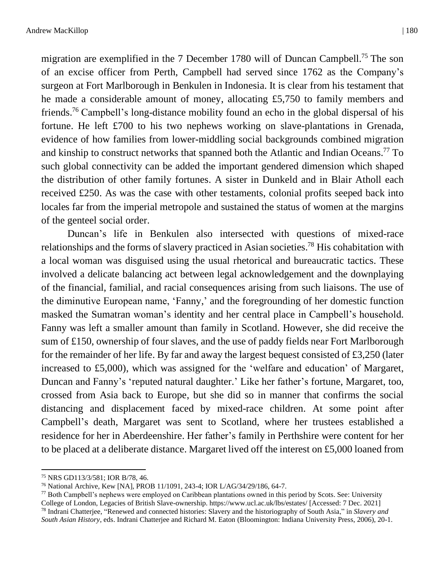migration are exemplified in the 7 December 1780 will of Duncan Campbell.<sup>75</sup> The son of an excise officer from Perth, Campbell had served since 1762 as the Company's surgeon at Fort Marlborough in Benkulen in Indonesia. It is clear from his testament that he made a considerable amount of money, allocating £5,750 to family members and friends.<sup>76</sup> Campbell's long-distance mobility found an echo in the global dispersal of his fortune. He left £700 to his two nephews working on slave-plantations in Grenada, evidence of how families from lower-middling social backgrounds combined migration and kinship to construct networks that spanned both the Atlantic and Indian Oceans.<sup>77</sup> To such global connectivity can be added the important gendered dimension which shaped the distribution of other family fortunes. A sister in Dunkeld and in Blair Atholl each received £250. As was the case with other testaments, colonial profits seeped back into locales far from the imperial metropole and sustained the status of women at the margins of the genteel social order.

Duncan's life in Benkulen also intersected with questions of mixed-race relationships and the forms of slavery practiced in Asian societies.<sup>78</sup> His cohabitation with a local woman was disguised using the usual rhetorical and bureaucratic tactics. These involved a delicate balancing act between legal acknowledgement and the downplaying of the financial, familial, and racial consequences arising from such liaisons. The use of the diminutive European name, 'Fanny,' and the foregrounding of her domestic function masked the Sumatran woman's identity and her central place in Campbell's household. Fanny was left a smaller amount than family in Scotland. However, she did receive the sum of £150, ownership of four slaves, and the use of paddy fields near Fort Marlborough for the remainder of her life. By far and away the largest bequest consisted of £3,250 (later increased to £5,000), which was assigned for the 'welfare and education' of Margaret, Duncan and Fanny's 'reputed natural daughter.' Like her father's fortune, Margaret, too, crossed from Asia back to Europe, but she did so in manner that confirms the social distancing and displacement faced by mixed-race children. At some point after Campbell's death, Margaret was sent to Scotland, where her trustees established a residence for her in Aberdeenshire. Her father's family in Perthshire were content for her to be placed at a deliberate distance. Margaret lived off the interest on £5,000 loaned from

<sup>75</sup> NRS GD113/3/581; IOR B/78, 46.

<sup>76</sup> National Archive, Kew [NA], PROB 11/1091, 243-4; IOR L/AG/34/29/186, 64-7.

 $^{77}$  Both Campbell's nephews were employed on Caribbean plantations owned in this period by Scots. See: University College of London, Legacies of British Slave-ownership.<https://www.ucl.ac.uk/lbs/estates/> [Accessed: 7 Dec. 2021]

<sup>78</sup> Indrani Chatterjee, "Renewed and connected histories: Slavery and the historiography of South Asia," in *Slavery and South Asian History*, eds. Indrani Chatterjee and Richard M. Eaton (Bloomington: Indiana University Press, 2006), 20-1.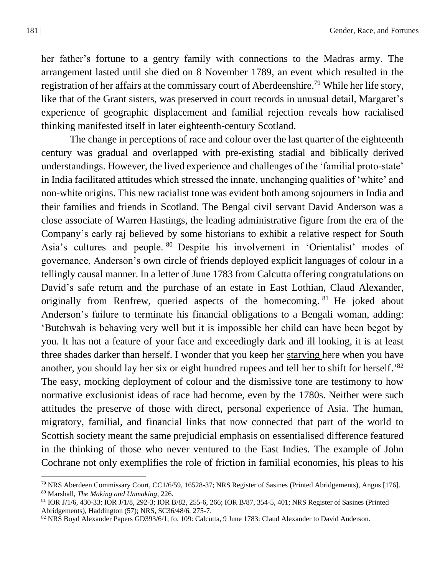her father's fortune to a gentry family with connections to the Madras army. The arrangement lasted until she died on 8 November 1789, an event which resulted in the registration of her affairs at the commissary court of Aberdeenshire.<sup>79</sup> While her life story, like that of the Grant sisters, was preserved in court records in unusual detail, Margaret's experience of geographic displacement and familial rejection reveals how racialised thinking manifested itself in later eighteenth-century Scotland.

The change in perceptions of race and colour over the last quarter of the eighteenth century was gradual and overlapped with pre-existing stadial and biblically derived understandings. However, the lived experience and challenges of the 'familial proto-state' in India facilitated attitudes which stressed the innate, unchanging qualities of 'white' and non-white origins. This new racialist tone was evident both among sojourners in India and their families and friends in Scotland. The Bengal civil servant David Anderson was a close associate of Warren Hastings, the leading administrative figure from the era of the Company's early raj believed by some historians to exhibit a relative respect for South Asia's cultures and people. <sup>80</sup> Despite his involvement in 'Orientalist' modes of governance, Anderson's own circle of friends deployed explicit languages of colour in a tellingly causal manner. In a letter of June 1783 from Calcutta offering congratulations on David's safe return and the purchase of an estate in East Lothian, Claud Alexander, originally from Renfrew, queried aspects of the homecoming. <sup>81</sup> He joked about Anderson's failure to terminate his financial obligations to a Bengali woman, adding: 'Butchwah is behaving very well but it is impossible her child can have been begot by you. It has not a feature of your face and exceedingly dark and ill looking, it is at least three shades darker than herself. I wonder that you keep her starving here when you have another, you should lay her six or eight hundred rupees and tell her to shift for herself.'<sup>82</sup> The easy, mocking deployment of colour and the dismissive tone are testimony to how normative exclusionist ideas of race had become, even by the 1780s. Neither were such attitudes the preserve of those with direct, personal experience of Asia. The human, migratory, familial, and financial links that now connected that part of the world to Scottish society meant the same prejudicial emphasis on essentialised difference featured in the thinking of those who never ventured to the East Indies. The example of John Cochrane not only exemplifies the role of friction in familial economies, his pleas to his

<sup>79</sup> NRS Aberdeen Commissary Court, CC1/6/59, 16528-37; NRS Register of Sasines (Printed Abridgements), Angus [176]. <sup>80</sup> Marshall, *The Making and Unmaking*, 226.

<sup>81</sup> IOR J/1/6, 430-33; IOR J/1/8, 292-3; IOR B/82, 255-6, 266; IOR B/87, 354-5, 401; NRS Register of Sasines (Printed Abridgements), Haddington (57); NRS, SC36/48/6, 275-7.

 $82$  NRS Boyd Alexander Papers GD393/6/1, fo. 109: Calcutta, 9 June 1783: Claud Alexander to David Anderson.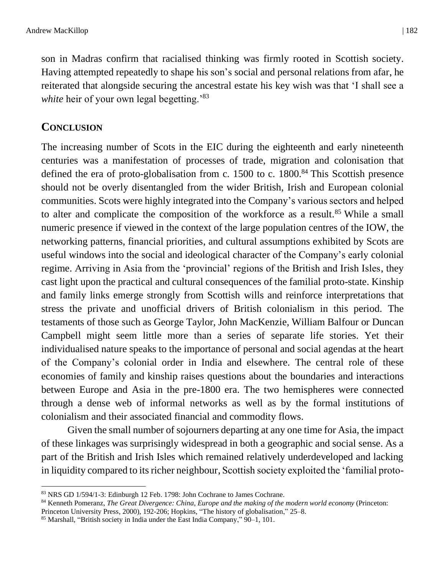son in Madras confirm that racialised thinking was firmly rooted in Scottish society. Having attempted repeatedly to shape his son's social and personal relations from afar, he reiterated that alongside securing the ancestral estate his key wish was that 'I shall see a *white* heir of your own legal begetting.<sup>83</sup>

# **CONCLUSION**

The increasing number of Scots in the EIC during the eighteenth and early nineteenth centuries was a manifestation of processes of trade, migration and colonisation that defined the era of proto-globalisation from c.  $1500$  to c.  $1800$ .<sup>84</sup> This Scottish presence should not be overly disentangled from the wider British, Irish and European colonial communities. Scots were highly integrated into the Company's various sectors and helped to alter and complicate the composition of the workforce as a result.<sup>85</sup> While a small numeric presence if viewed in the context of the large population centres of the IOW, the networking patterns, financial priorities, and cultural assumptions exhibited by Scots are useful windows into the social and ideological character of the Company's early colonial regime. Arriving in Asia from the 'provincial' regions of the British and Irish Isles, they cast light upon the practical and cultural consequences of the familial proto-state. Kinship and family links emerge strongly from Scottish wills and reinforce interpretations that stress the private and unofficial drivers of British colonialism in this period. The testaments of those such as George Taylor, John MacKenzie, William Balfour or Duncan Campbell might seem little more than a series of separate life stories. Yet their individualised nature speaks to the importance of personal and social agendas at the heart of the Company's colonial order in India and elsewhere. The central role of these economies of family and kinship raises questions about the boundaries and interactions between Europe and Asia in the pre-1800 era. The two hemispheres were connected through a dense web of informal networks as well as by the formal institutions of colonialism and their associated financial and commodity flows.

Given the small number of sojourners departing at any one time for Asia, the impact of these linkages was surprisingly widespread in both a geographic and social sense. As a part of the British and Irish Isles which remained relatively underdeveloped and lacking in liquidity compared to its richer neighbour, Scottish society exploited the 'familial proto-

<sup>83</sup> NRS GD 1/594/1-3: Edinburgh 12 Feb. 1798: John Cochrane to James Cochrane.

<sup>84</sup> Kenneth Pomeranz, *The Great Divergence: China, Europe and the making of the modern world economy* (Princeton: Princeton University Press, 2000), 192-206; Hopkins, "The history of globalisation," 25–8.

<sup>85</sup> Marshall, "British society in India under the East India Company," 90–1, 101.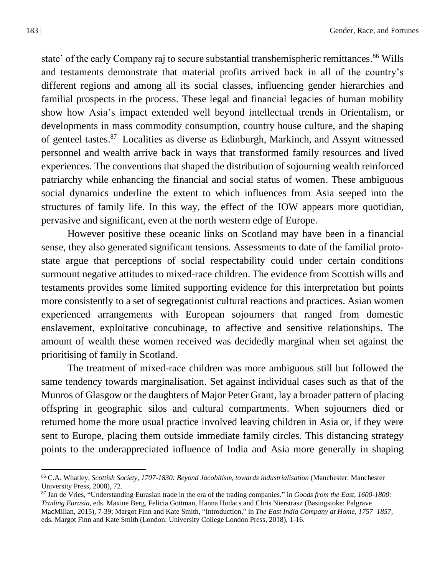state' of the early Company raj to secure substantial transhemispheric remittances.<sup>86</sup> Wills and testaments demonstrate that material profits arrived back in all of the country's different regions and among all its social classes, influencing gender hierarchies and familial prospects in the process. These legal and financial legacies of human mobility show how Asia's impact extended well beyond intellectual trends in Orientalism, or developments in mass commodity consumption, country house culture, and the shaping of genteel tastes.<sup>87</sup> Localities as diverse as Edinburgh, Markinch, and Assynt witnessed personnel and wealth arrive back in ways that transformed family resources and lived experiences. The conventions that shaped the distribution of sojourning wealth reinforced patriarchy while enhancing the financial and social status of women. These ambiguous social dynamics underline the extent to which influences from Asia seeped into the structures of family life. In this way, the effect of the IOW appears more quotidian, pervasive and significant, even at the north western edge of Europe.

However positive these oceanic links on Scotland may have been in a financial sense, they also generated significant tensions. Assessments to date of the familial protostate argue that perceptions of social respectability could under certain conditions surmount negative attitudes to mixed-race children. The evidence from Scottish wills and testaments provides some limited supporting evidence for this interpretation but points more consistently to a set of segregationist cultural reactions and practices. Asian women experienced arrangements with European sojourners that ranged from domestic enslavement, exploitative concubinage, to affective and sensitive relationships. The amount of wealth these women received was decidedly marginal when set against the prioritising of family in Scotland.

The treatment of mixed-race children was more ambiguous still but followed the same tendency towards marginalisation. Set against individual cases such as that of the Munros of Glasgow or the daughters of Major Peter Grant, lay a broader pattern of placing offspring in geographic silos and cultural compartments. When sojourners died or returned home the more usual practice involved leaving children in Asia or, if they were sent to Europe, placing them outside immediate family circles. This distancing strategy points to the underappreciated influence of India and Asia more generally in shaping

<sup>86</sup> C.A. Whatley, *Scottish Society, 1707-1830: Beyond Jacobitism, towards industrialisation* (Manchester: Manchester University Press, 2000), 72.

<sup>87</sup> Jan de Vries, "Understanding Eurasian trade in the era of the trading companies," in *Goods from the East, 1600-1800: Trading Eurasia*, eds. Maxine Berg, Felicia Gottman, Hanna Hodacs and Chris Nierstrasz (Basingstoke: Palgrave MacMillan, 2015), 7-39; Margot Finn and Kate Smith, "Introduction," in *The East India Company at Home, 1757–1857*, eds. Margot Finn and Kate Smith (London: University College London Press, 2018), 1-16.